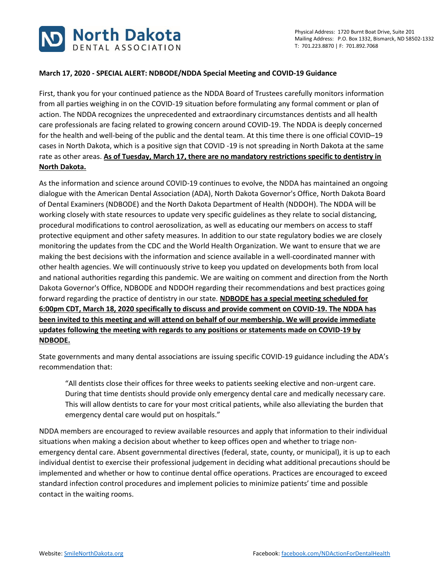

## **March 17, 2020 - SPECIAL ALERT: NDBODE/NDDA Special Meeting and COVID-19 Guidance**

First, thank you for your continued patience as the NDDA Board of Trustees carefully monitors information from all parties weighing in on the COVID-19 situation before formulating any formal comment or plan of action. The NDDA recognizes the unprecedented and extraordinary circumstances dentists and all health care professionals are facing related to growing concern around COVID-19. The NDDA is deeply concerned for the health and well-being of the public and the dental team. At this time there is one official COVID–19 cases in North Dakota, which is a positive sign that COVID -19 is not spreading in North Dakota at the same rate as other areas. **As of Tuesday, March 17, there are no mandatory restrictions specific to dentistry in North Dakota.**

As the information and science around COVID-19 continues to evolve, the NDDA has maintained an ongoing dialogue with the American Dental Association (ADA), North Dakota Governor's Office, North Dakota Board of Dental Examiners (NDBODE) and the North Dakota Department of Health (NDDOH). The NDDA will be working closely with state resources to update very specific guidelines as they relate to social distancing, procedural modifications to control aerosolization, as well as educating our members on access to staff protective equipment and other safety measures. In addition to our state regulatory bodies we are closely monitoring the updates from the CDC and the World Health Organization. We want to ensure that we are making the best decisions with the information and science available in a well-coordinated manner with other health agencies. We will continuously strive to keep you updated on developments both from local and national authorities regarding this pandemic. We are waiting on comment and direction from the North Dakota Governor's Office, NDBODE and NDDOH regarding their recommendations and best practices going forward regarding the practice of dentistry in our state. **NDBODE has a special meeting scheduled for 6:00pm CDT, March 18, 2020 specifically to discuss and provide comment on COVID-19. The NDDA has been invited to this meeting and will attend on behalf of our membership. We will provide immediate updates following the meeting with regards to any positions or statements made on COVID-19 by NDBODE.**

State governments and many dental associations are issuing specific COVID-19 guidance including the ADA's recommendation that:

"All dentists close their offices for three weeks to patients seeking elective and non-urgent care. During that time dentists should provide only emergency dental care and medically necessary care. This will allow dentists to care for your most critical patients, while also alleviating the burden that emergency dental care would put on hospitals."

NDDA members are encouraged to review available resources and apply that information to their individual situations when making a decision about whether to keep offices open and whether to triage nonemergency dental care. Absent governmental directives (federal, state, county, or municipal), it is up to each individual dentist to exercise their professional judgement in deciding what additional precautions should be implemented and whether or how to continue dental office operations. Practices are encouraged to exceed standard infection control procedures and implement policies to minimize patients' time and possible contact in the waiting rooms.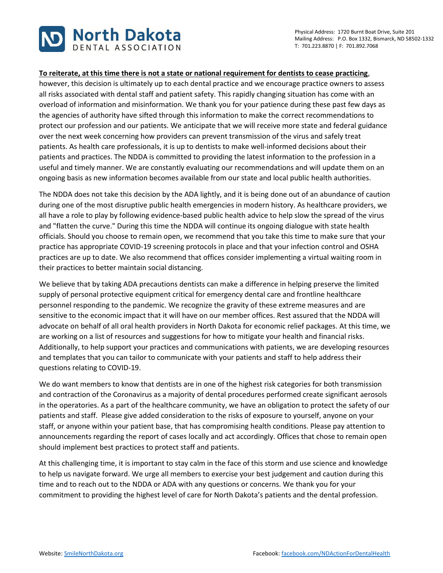



## **To reiterate, at this time there is not a state or national requirement for dentists to cease practicing**,

however, this decision is ultimately up to each dental practice and we encourage practice owners to assess all risks associated with dental staff and patient safety. This rapidly changing situation has come with an overload of information and misinformation. We thank you for your patience during these past few days as the agencies of authority have sifted through this information to make the correct recommendations to protect our profession and our patients. We anticipate that we will receive more state and federal guidance over the next week concerning how providers can prevent transmission of the virus and safely treat patients. As health care professionals, it is up to dentists to make well-informed decisions about their patients and practices. The NDDA is committed to providing the latest information to the profession in a useful and timely manner. We are constantly evaluating our recommendations and will update them on an ongoing basis as new information becomes available from our state and local public health authorities.

The NDDA does not take this decision by the ADA lightly, and it is being done out of an abundance of caution during one of the most disruptive public health emergencies in modern history. As healthcare providers, we all have a role to play by following evidence-based public health advice to help slow the spread of the virus and "flatten the curve." During this time the NDDA will continue its ongoing dialogue with state health officials. Should you choose to remain open, we recommend that you take this time to make sure that your practice has appropriate COVID-19 screening protocols in place and that your infection control and OSHA practices are up to date. We also recommend that offices consider implementing a virtual waiting room in their practices to better maintain social distancing.

We believe that by taking ADA precautions dentists can make a difference in helping preserve the limited supply of personal protective equipment critical for emergency dental care and frontline healthcare personnel responding to the pandemic. We recognize the gravity of these extreme measures and are sensitive to the economic impact that it will have on our member offices. Rest assured that the NDDA will advocate on behalf of all oral health providers in North Dakota for economic relief packages. At this time, we are working on a list of resources and suggestions for how to mitigate your health and financial risks. Additionally, to help support your practices and communications with patients, we are developing resources and templates that you can tailor to communicate with your patients and staff to help address their questions relating to COVID-19.

We do want members to know that dentists are in one of the highest risk categories for both transmission and contraction of the Coronavirus as a majority of dental procedures performed create significant aerosols in the operatories. As a part of the healthcare community, we have an obligation to protect the safety of our patients and staff. Please give added consideration to the risks of exposure to yourself, anyone on your staff, or anyone within your patient base, that has compromising health conditions. Please pay attention to announcements regarding the report of cases locally and act accordingly. Offices that chose to remain open should implement best practices to protect staff and patients.

At this challenging time, it is important to stay calm in the face of this storm and use science and knowledge to help us navigate forward. We urge all members to exercise your best judgement and caution during this time and to reach out to the NDDA or ADA with any questions or concerns. We thank you for your commitment to providing the highest level of care for North Dakota's patients and the dental profession.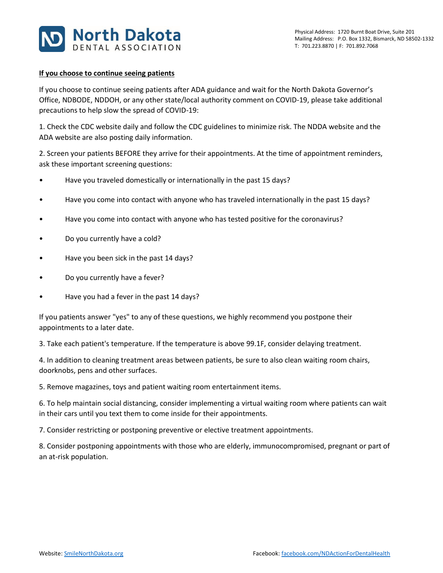

## **If you choose to continue seeing patients**

If you choose to continue seeing patients after ADA guidance and wait for the North Dakota Governor's Office, NDBODE, NDDOH, or any other state/local authority comment on COVID-19, please take additional precautions to help slow the spread of COVID-19:

1. Check the CDC website daily and follow the CDC guidelines to minimize risk. The NDDA website and the ADA website are also posting daily information.

2. Screen your patients BEFORE they arrive for their appointments. At the time of appointment reminders, ask these important screening questions:

- Have you traveled domestically or internationally in the past 15 days?
- Have you come into contact with anyone who has traveled internationally in the past 15 days?
- Have you come into contact with anyone who has tested positive for the coronavirus?
- Do you currently have a cold?
- Have you been sick in the past 14 days?
- Do you currently have a fever?
- Have you had a fever in the past 14 days?

If you patients answer "yes" to any of these questions, we highly recommend you postpone their appointments to a later date.

3. Take each patient's temperature. If the temperature is above 99.1F, consider delaying treatment.

4. In addition to cleaning treatment areas between patients, be sure to also clean waiting room chairs, doorknobs, pens and other surfaces.

5. Remove magazines, toys and patient waiting room entertainment items.

6. To help maintain social distancing, consider implementing a virtual waiting room where patients can wait in their cars until you text them to come inside for their appointments.

7. Consider restricting or postponing preventive or elective treatment appointments.

8. Consider postponing appointments with those who are elderly, immunocompromised, pregnant or part of an at-risk population.